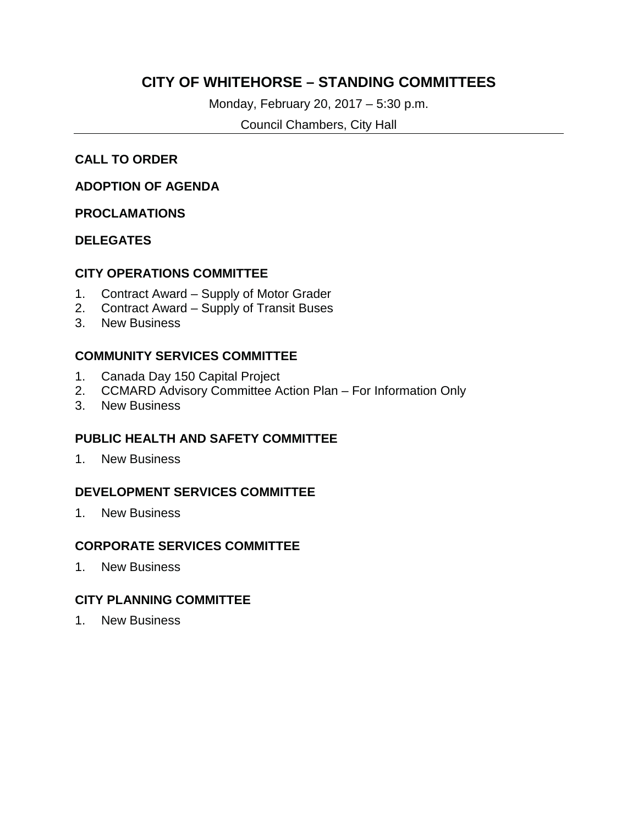### **CITY OF WHITEHORSE – STANDING COMMITTEES**

Monday, February 20, 2017 – 5:30 p.m.

Council Chambers, City Hall

### **CALL TO ORDER**

### **ADOPTION OF AGENDA**

### **PROCLAMATIONS**

### **DELEGATES**

### **CITY OPERATIONS COMMITTEE**

- 1. Contract Award Supply of Motor Grader
- 2. Contract Award Supply of Transit Buses
- 3. New Business

### **COMMUNITY SERVICES COMMITTEE**

- 1. Canada Day 150 Capital Project
- 2. CCMARD Advisory Committee Action Plan For Information Only
- 3. New Business

### **PUBLIC HEALTH AND SAFETY COMMITTEE**

1. New Business

### **DEVELOPMENT SERVICES COMMITTEE**

1. New Business

### **CORPORATE SERVICES COMMITTEE**

1. New Business

### **CITY PLANNING COMMITTEE**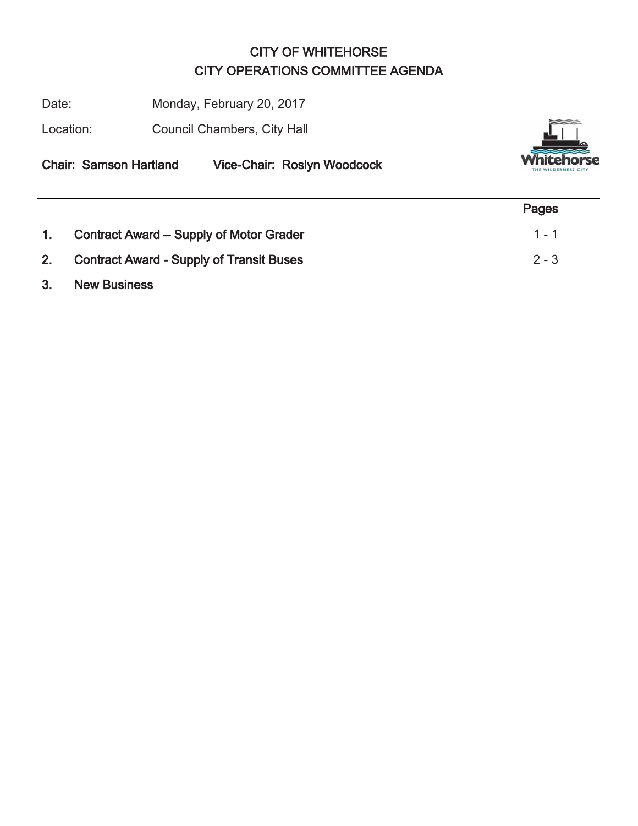# CITY OF WHITEHORSE CITY OPERATIONS COMMITTEE AGENDA

Date: Monday, February 20, 2017

Location: Council Chambers, City Hall



Chair: Samson Hartland Vice-Chair: Roslyn Woodcock

|    |                                                 | Pages   |
|----|-------------------------------------------------|---------|
| 1. | Contract Award – Supply of Motor Grader         | $1 - 1$ |
| 2. | <b>Contract Award - Supply of Transit Buses</b> | $2 - 3$ |
| 3. | <b>New Business</b>                             |         |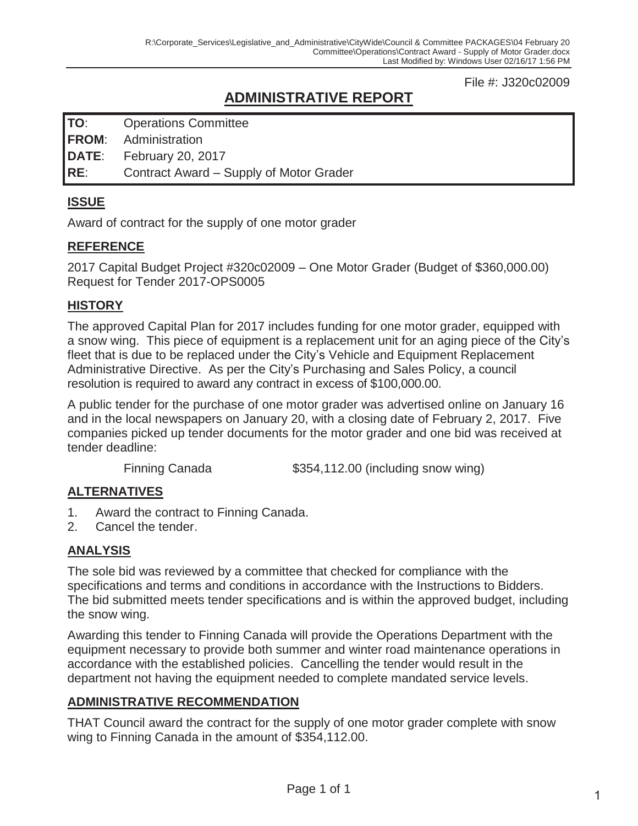### File #: J320c02009

# **ADMINISTRATIVE REPORT**

**TO**: Operations Committee

**FROM**: Administration

**DATE**: February 20, 2017

**RE**: Contract Award – Supply of Motor Grader

### **ISSUE**

Award of contract for the supply of one motor grader

### **REFERENCE**

2017 Capital Budget Project #320c02009 – One Motor Grader (Budget of \$360,000.00) Request for Tender 2017-OPS0005

### **HISTORY**

The approved Capital Plan for 2017 includes funding for one motor grader, equipped with a snow wing. This piece of equipment is a replacement unit for an aging piece of the City's fleet that is due to be replaced under the City's Vehicle and Equipment Replacement Administrative Directive. As per the City's Purchasing and Sales Policy, a council resolution is required to award any contract in excess of \$100,000.00.

A public tender for the purchase of one motor grader was advertised online on January 16 and in the local newspapers on January 20, with a closing date of February 2, 2017. Five companies picked up tender documents for the motor grader and one bid was received at tender deadline:

Finning Canada  $$354,112.00$  (including snow wing)

### **ALTERNATIVES**

- 1. Award the contract to Finning Canada.
- 2. Cancel the tender.

### **ANALYSIS**

The sole bid was reviewed by a committee that checked for compliance with the specifications and terms and conditions in accordance with the Instructions to Bidders. The bid submitted meets tender specifications and is within the approved budget, including the snow wing.

Awarding this tender to Finning Canada will provide the Operations Department with the equipment necessary to provide both summer and winter road maintenance operations in accordance with the established policies. Cancelling the tender would result in the department not having the equipment needed to complete mandated service levels.

### **ADMINISTRATIVE RECOMMENDATION**

THAT Council award the contract for the supply of one motor grader complete with snow wing to Finning Canada in the amount of \$354,112.00.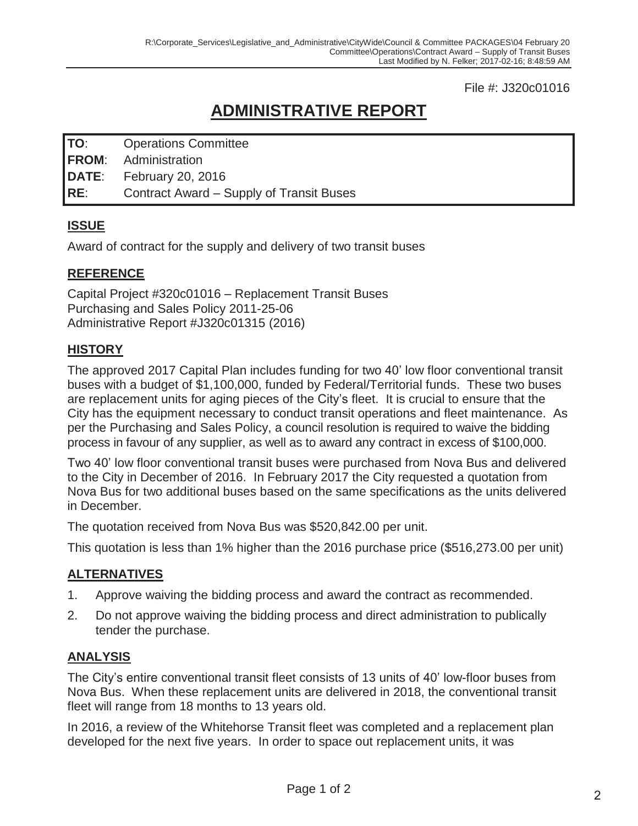File #: J320c01016

# **ADMINISTRATIVE REPORT**

| TO:<br><b>Operations Committee</b> |  |
|------------------------------------|--|
|------------------------------------|--|

- **FROM**: Administration
- **DATE**: February 20, 2016

**RE**: Contract Award – Supply of Transit Buses

### **ISSUE**

Award of contract for the supply and delivery of two transit buses

### **REFERENCE**

Capital Project #320c01016 – Replacement Transit Buses Purchasing and Sales Policy 2011-25-06 Administrative Report #J320c01315 (2016)

### **HISTORY**

The approved 2017 Capital Plan includes funding for two 40' low floor conventional transit buses with a budget of \$1,100,000, funded by Federal/Territorial funds. These two buses are replacement units for aging pieces of the City's fleet. It is crucial to ensure that the City has the equipment necessary to conduct transit operations and fleet maintenance. As per the Purchasing and Sales Policy, a council resolution is required to waive the bidding process in favour of any supplier, as well as to award any contract in excess of \$100,000.

Two 40' low floor conventional transit buses were purchased from Nova Bus and delivered to the City in December of 2016. In February 2017 the City requested a quotation from Nova Bus for two additional buses based on the same specifications as the units delivered in December.

The quotation received from Nova Bus was \$520,842.00 per unit.

This quotation is less than 1% higher than the 2016 purchase price (\$516,273.00 per unit)

### **ALTERNATIVES**

- 1. Approve waiving the bidding process and award the contract as recommended.
- 2. Do not approve waiving the bidding process and direct administration to publically tender the purchase.

### **ANALYSIS**

The City's entire conventional transit fleet consists of 13 units of 40' low-floor buses from Nova Bus. When these replacement units are delivered in 2018, the conventional transit fleet will range from 18 months to 13 years old.

In 2016, a review of the Whitehorse Transit fleet was completed and a replacement plan developed for the next five years. In order to space out replacement units, it was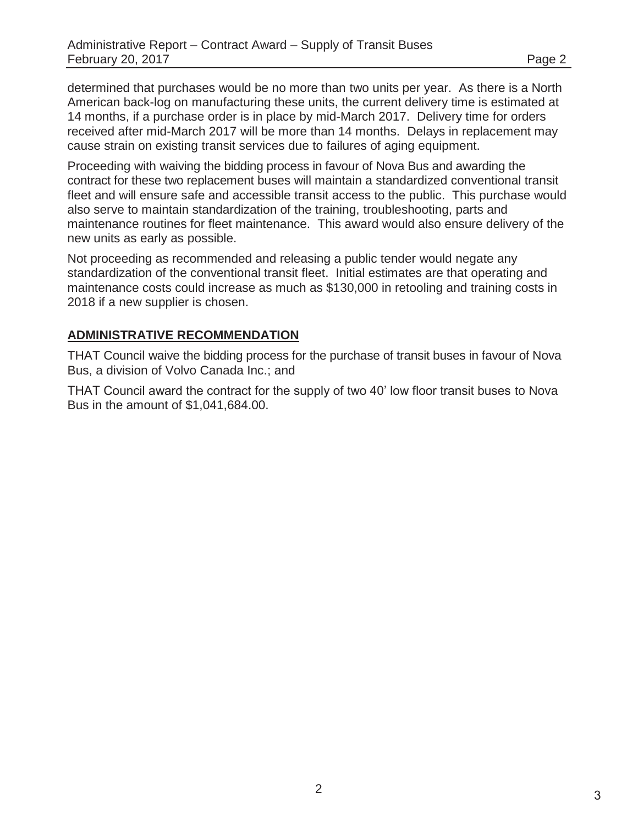determined that purchases would be no more than two units per year. As there is a North American back-log on manufacturing these units, the current delivery time is estimated at 14 months, if a purchase order is in place by mid-March 2017. Delivery time for orders received after mid-March 2017 will be more than 14 months. Delays in replacement may cause strain on existing transit services due to failures of aging equipment.

Proceeding with waiving the bidding process in favour of Nova Bus and awarding the contract for these two replacement buses will maintain a standardized conventional transit fleet and will ensure safe and accessible transit access to the public. This purchase would also serve to maintain standardization of the training, troubleshooting, parts and maintenance routines for fleet maintenance. This award would also ensure delivery of the new units as early as possible.

Not proceeding as recommended and releasing a public tender would negate any standardization of the conventional transit fleet. Initial estimates are that operating and maintenance costs could increase as much as \$130,000 in retooling and training costs in 2018 if a new supplier is chosen.

### **ADMINISTRATIVE RECOMMENDATION**

THAT Council waive the bidding process for the purchase of transit buses in favour of Nova Bus, a division of Volvo Canada Inc.; and

THAT Council award the contract for the supply of two 40' low floor transit buses to Nova Bus in the amount of \$1,041,684.00.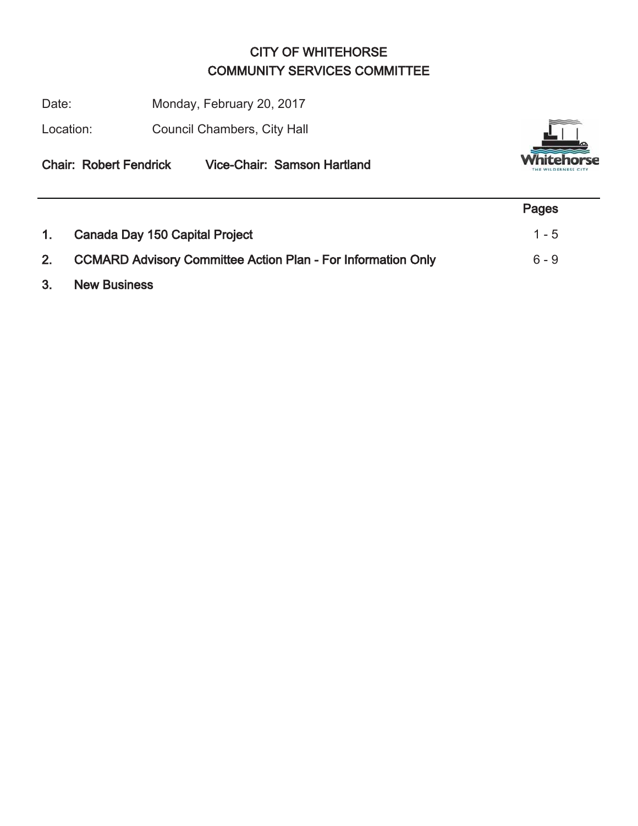# CITY OF WHITEHORSE COMMUNITY SERVICES COMMITTEE

Date: Monday, February 20, 2017

Location: Council Chambers, City Hall



Chair: Robert Fendrick Vice-Chair: Samson Hartland

|    |                                                                 | Pages   |
|----|-----------------------------------------------------------------|---------|
| 1. | Canada Day 150 Capital Project                                  | $1 - 5$ |
|    | 2. CCMARD Advisory Committee Action Plan - For Information Only | $6 - 9$ |
| 3. | <b>New Business</b>                                             |         |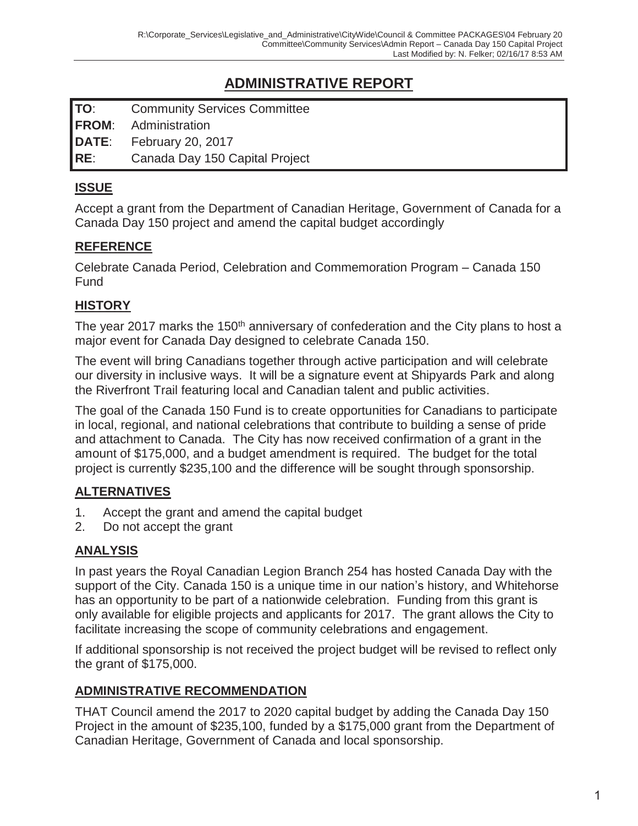# **ADMINISTRATIVE REPORT**

**TO**: Community Services Committee **FROM**: Administration **DATE**: February 20, 2017 **RE**: Canada Day 150 Capital Project

**ISSUE** 

Accept a grant from the Department of Canadian Heritage, Government of Canada for a Canada Day 150 project and amend the capital budget accordingly

### **REFERENCE**

Celebrate Canada Period, Celebration and Commemoration Program – Canada 150 Fund

### **HISTORY**

The year 2017 marks the 150<sup>th</sup> anniversary of confederation and the City plans to host a major event for Canada Day designed to celebrate Canada 150.

The event will bring Canadians together through active participation and will celebrate our diversity in inclusive ways. It will be a signature event at Shipyards Park and along the Riverfront Trail featuring local and Canadian talent and public activities.

The goal of the Canada 150 Fund is to create opportunities for Canadians to participate in local, regional, and national celebrations that contribute to building a sense of pride and attachment to Canada. The City has now received confirmation of a grant in the amount of \$175,000, and a budget amendment is required. The budget for the total project is currently \$235,100 and the difference will be sought through sponsorship.

### **ALTERNATIVES**

- 1. Accept the grant and amend the capital budget
- 2. Do not accept the grant

### **ANALYSIS**

In past years the Royal Canadian Legion Branch 254 has hosted Canada Day with the support of the City. Canada 150 is a unique time in our nation's history, and Whitehorse has an opportunity to be part of a nationwide celebration. Funding from this grant is only available for eligible projects and applicants for 2017. The grant allows the City to facilitate increasing the scope of community celebrations and engagement.

If additional sponsorship is not received the project budget will be revised to reflect only the grant of \$175,000.

### **ADMINISTRATIVE RECOMMENDATION**

THAT Council amend the 2017 to 2020 capital budget by adding the Canada Day 150 Project in the amount of \$235,100, funded by a \$175,000 grant from the Department of Canadian Heritage, Government of Canada and local sponsorship.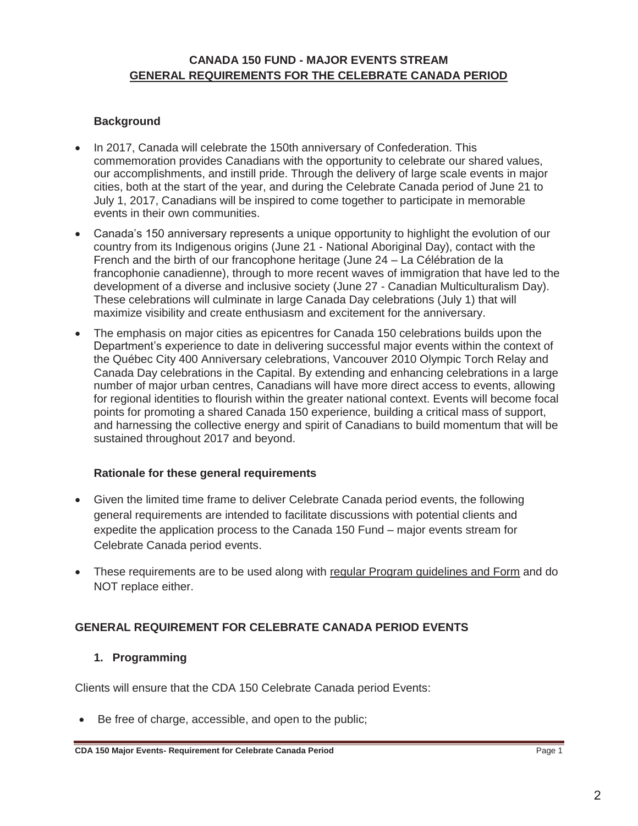### **Background**

- x In 2017, Canada will celebrate the 150th anniversary of Confederation. This commemoration provides Canadians with the opportunity to celebrate our shared values, our accomplishments, and instill pride. Through the delivery of large scale events in major cities, both at the start of the year, and during the Celebrate Canada period of June 21 to July 1, 2017, Canadians will be inspired to come together to participate in memorable events in their own communities.
- Canada's 150 anniversary represents a unique opportunity to highlight the evolution of our country from its Indigenous origins (June 21 - National Aboriginal Day), contact with the French and the birth of our francophone heritage (June 24 – La Célébration de la francophonie canadienne), through to more recent waves of immigration that have led to the development of a diverse and inclusive society (June 27 - Canadian Multiculturalism Day). These celebrations will culminate in large Canada Day celebrations (July 1) that will maximize visibility and create enthusiasm and excitement for the anniversary.
- The emphasis on major cities as epicentres for Canada 150 celebrations builds upon the Department's experience to date in delivering successful major events within the context of the Québec City 400 Anniversary celebrations, Vancouver 2010 Olympic Torch Relay and Canada Day celebrations in the Capital. By extending and enhancing celebrations in a large number of major urban centres, Canadians will have more direct access to events, allowing for regional identities to flourish within the greater national context. Events will become focal points for promoting a shared Canada 150 experience, building a critical mass of support, and harnessing the collective energy and spirit of Canadians to build momentum that will be sustained throughout 2017 and beyond.

#### **Rationale for these general requirements**

- Given the limited time frame to deliver Celebrate Canada period events, the following general requirements are intended to facilitate discussions with potential clients and expedite the application process to the Canada 150 Fund – major events stream for Celebrate Canada period events.
- These requirements are to be used along with regular Program guidelines and Form and do NOT replace either.

### **GENERAL REQUIREMENT FOR CELEBRATE CANADA PERIOD EVENTS**

#### **1. Programming**

Clients will ensure that the CDA 150 Celebrate Canada period Events:

 $\bullet$  Be free of charge, accessible, and open to the public;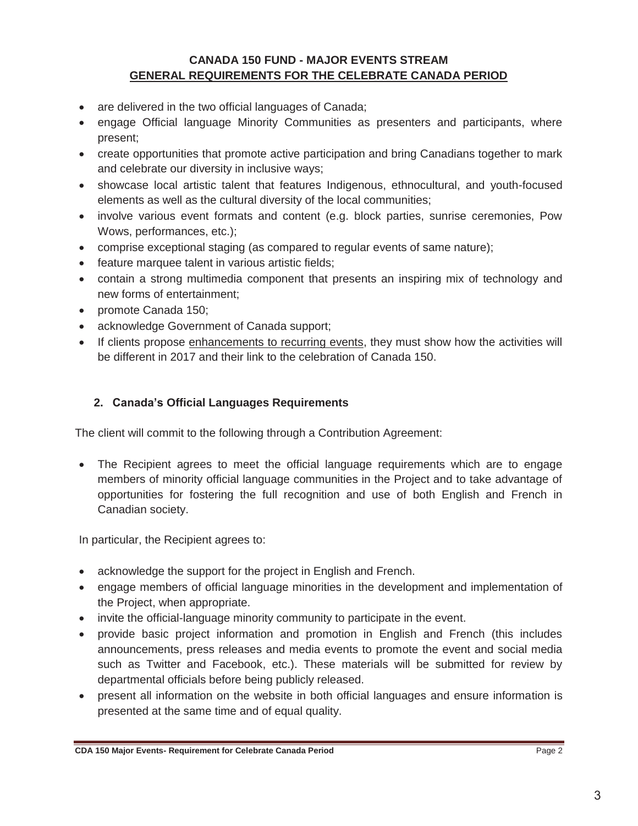- are delivered in the two official languages of Canada;
- engage Official language Minority Communities as presenters and participants, where present;
- create opportunities that promote active participation and bring Canadians together to mark and celebrate our diversity in inclusive ways;
- showcase local artistic talent that features Indigenous, ethnocultural, and youth-focused elements as well as the cultural diversity of the local communities;
- involve various event formats and content (e.g. block parties, sunrise ceremonies, Pow Wows, performances, etc.);
- comprise exceptional staging (as compared to regular events of same nature);
- feature marquee talent in various artistic fields;
- contain a strong multimedia component that presents an inspiring mix of technology and new forms of entertainment;
- promote Canada 150;
- acknowledge Government of Canada support;
- If clients propose enhancements to recurring events, they must show how the activities will be different in 2017 and their link to the celebration of Canada 150.

### **2. Canada's Official Languages Requirements**

The client will commit to the following through a Contribution Agreement:

• The Recipient agrees to meet the official language requirements which are to engage members of minority official language communities in the Project and to take advantage of opportunities for fostering the full recognition and use of both English and French in Canadian society.

In particular, the Recipient agrees to:

- acknowledge the support for the project in English and French.
- engage members of official language minorities in the development and implementation of the Project, when appropriate.
- invite the official-language minority community to participate in the event.
- provide basic project information and promotion in English and French (this includes announcements, press releases and media events to promote the event and social media such as Twitter and Facebook, etc.). These materials will be submitted for review by departmental officials before being publicly released.
- present all information on the website in both official languages and ensure information is presented at the same time and of equal quality.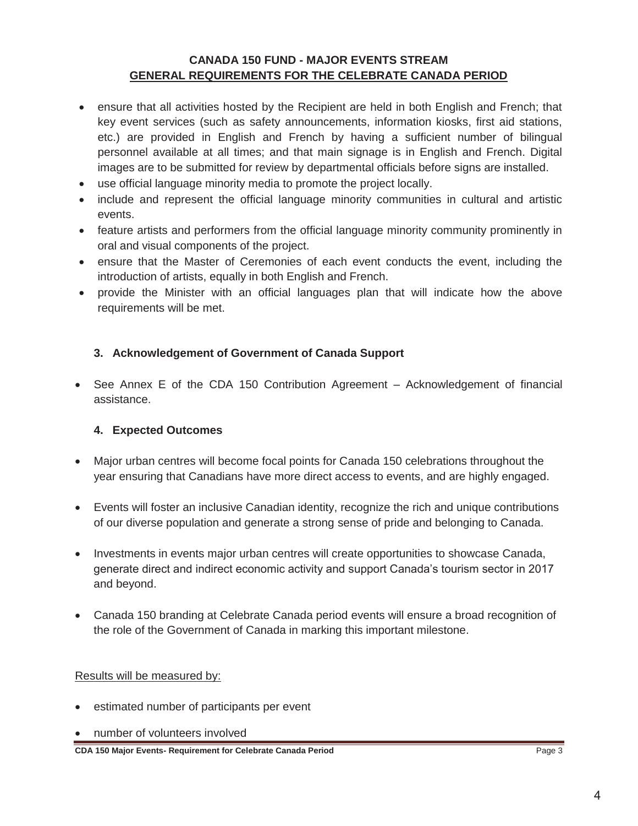- ensure that all activities hosted by the Recipient are held in both English and French; that key event services (such as safety announcements, information kiosks, first aid stations, etc.) are provided in English and French by having a sufficient number of bilingual personnel available at all times; and that main signage is in English and French. Digital images are to be submitted for review by departmental officials before signs are installed.
- use official language minority media to promote the project locally.
- include and represent the official language minority communities in cultural and artistic events.
- feature artists and performers from the official language minority community prominently in oral and visual components of the project.
- ensure that the Master of Ceremonies of each event conducts the event, including the introduction of artists, equally in both English and French.
- provide the Minister with an official languages plan that will indicate how the above requirements will be met.

#### **3. Acknowledgement of Government of Canada Support**

• See Annex E of the CDA 150 Contribution Agreement – Acknowledgement of financial assistance.

#### **4. Expected Outcomes**

- Major urban centres will become focal points for Canada 150 celebrations throughout the year ensuring that Canadians have more direct access to events, and are highly engaged.
- Events will foster an inclusive Canadian identity, recognize the rich and unique contributions of our diverse population and generate a strong sense of pride and belonging to Canada.
- Investments in events major urban centres will create opportunities to showcase Canada, generate direct and indirect economic activity and support Canada's tourism sector in 2017 and beyond.
- Canada 150 branding at Celebrate Canada period events will ensure a broad recognition of the role of the Government of Canada in marking this important milestone.

#### Results will be measured by:

- estimated number of participants per event
- number of volunteers involved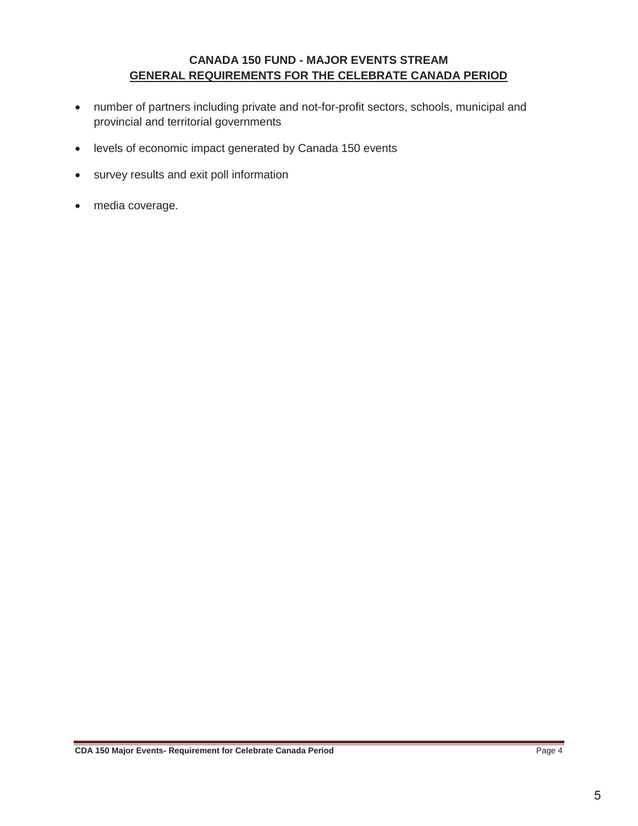- number of partners including private and not-for-profit sectors, schools, municipal and provincial and territorial governments
- levels of economic impact generated by Canada 150 events
- survey results and exit poll information
- media coverage.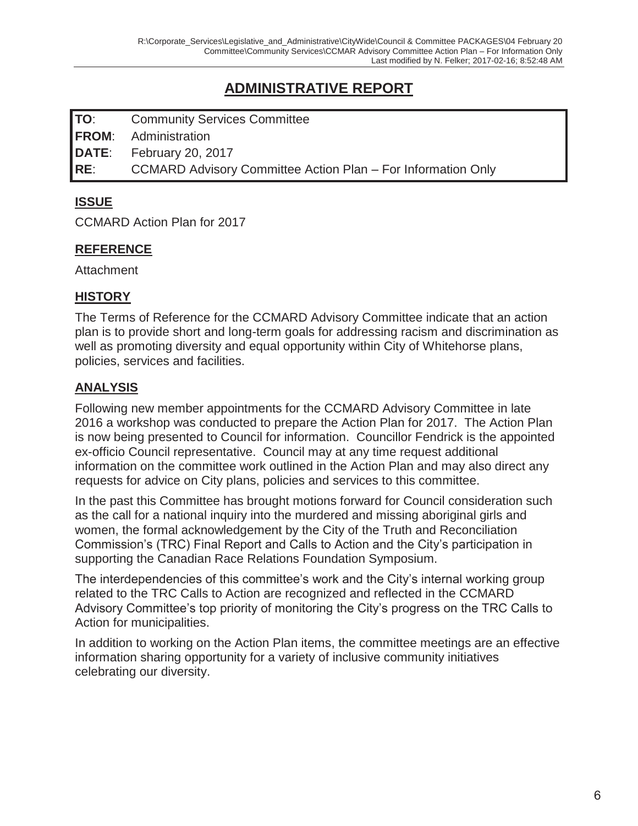# **ADMINISTRATIVE REPORT**

**TO**: Community Services Committee **FROM**: Administration **DATE**: February 20, 2017 **RE**: CCMARD Advisory Committee Action Plan – For Information Only

### **ISSUE**

CCMARD Action Plan for 2017

### **REFERENCE**

**Attachment** 

### **HISTORY**

The Terms of Reference for the CCMARD Advisory Committee indicate that an action plan is to provide short and long-term goals for addressing racism and discrimination as well as promoting diversity and equal opportunity within City of Whitehorse plans, policies, services and facilities.

### **ANALYSIS**

Following new member appointments for the CCMARD Advisory Committee in late 2016 a workshop was conducted to prepare the Action Plan for 2017. The Action Plan is now being presented to Council for information. Councillor Fendrick is the appointed ex-officio Council representative. Council may at any time request additional information on the committee work outlined in the Action Plan and may also direct any requests for advice on City plans, policies and services to this committee.

In the past this Committee has brought motions forward for Council consideration such as the call for a national inquiry into the murdered and missing aboriginal girls and women, the formal acknowledgement by the City of the Truth and Reconciliation Commission's (TRC) Final Report and Calls to Action and the City's participation in supporting the Canadian Race Relations Foundation Symposium.

The interdependencies of this committee's work and the City's internal working group related to the TRC Calls to Action are recognized and reflected in the CCMARD Advisory Committee's top priority of monitoring the City's progress on the TRC Calls to Action for municipalities.

In addition to working on the Action Plan items, the committee meetings are an effective information sharing opportunity for a variety of inclusive community initiatives celebrating our diversity.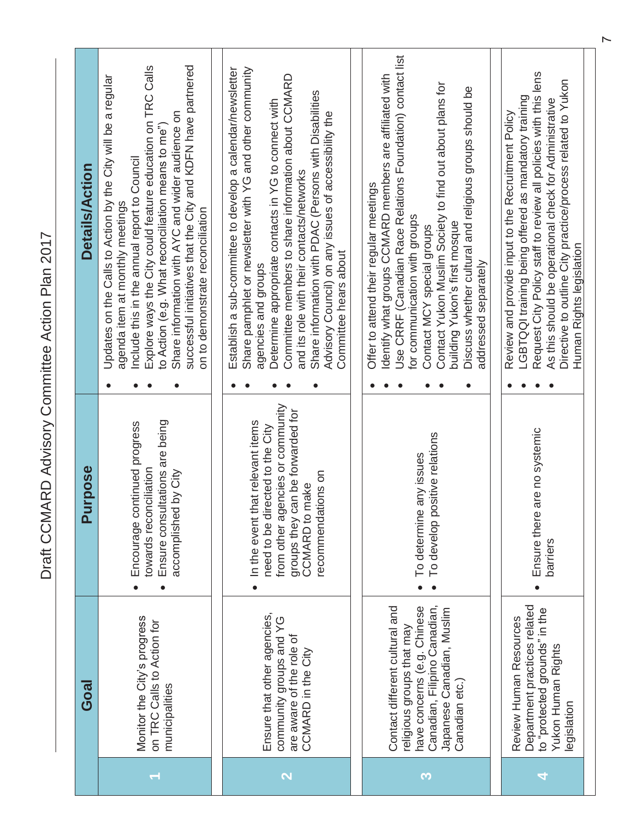Draft CCMARD Advisory Committee Action Plan 2017 Draft CCMARD Advisory Committee Action Plan 2017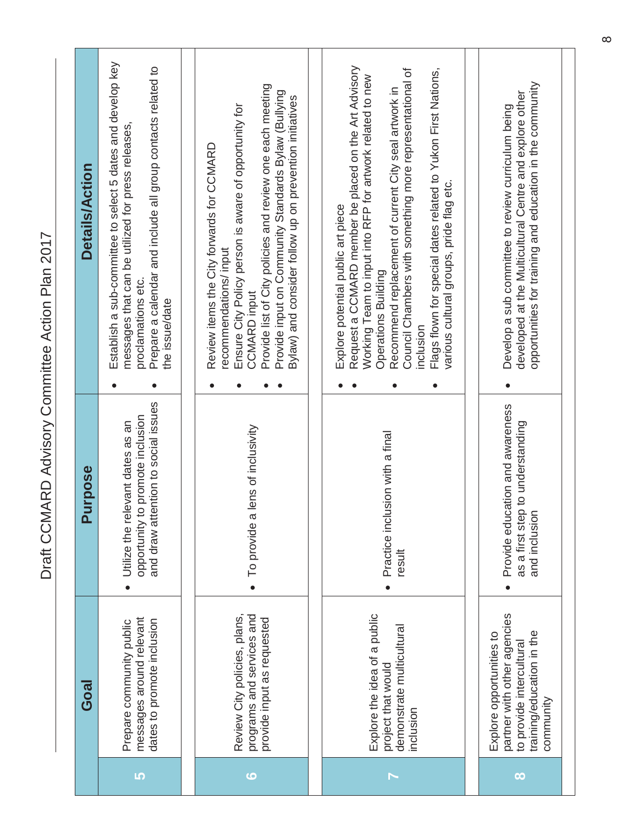| İ<br>$\frac{1}{2}$<br>$\mathbf{r}$ |
|------------------------------------|
| ı                                  |
| $\frac{1}{2}$                      |
|                                    |
| ا<br>ا                             |
| (                                  |
| ミくく                                |
|                                    |
| ĺ                                  |
| ֡֕<br>֧֧֚֝<br>֧֚֝                  |
|                                    |
| .<br>(                             |
| ĺ<br>١                             |

|                 | Goal                                                                                                                          | <b>Purpose</b>                                                                                                 | Details/Action                                                                                                                                                                                                                                                                                                                                                                                                                        |
|-----------------|-------------------------------------------------------------------------------------------------------------------------------|----------------------------------------------------------------------------------------------------------------|---------------------------------------------------------------------------------------------------------------------------------------------------------------------------------------------------------------------------------------------------------------------------------------------------------------------------------------------------------------------------------------------------------------------------------------|
| LO <sub>1</sub> | messages around relevant<br>dates to promote inclusion<br>Prepare community public                                            | and draw attention to social issues<br>to promote inclusion<br>Utilize the relevant dates as an<br>opportunity | Establish a sub-committee to select 5 dates and develop key<br>Prepare a calendar and include all group contacts related to<br>messages that can be utilized for press releases,<br>proclamations etc.<br>the issue/date                                                                                                                                                                                                              |
| $\bullet$       | programs and services and<br>Review City policies, plans,<br>provide input as requested                                       | To provide a lens of inclusivity                                                                               | Provide list of City policies and review one each meeting<br>Provide input on Community Standards Bylaw (Bullying<br>Bylaw) and consider follow up on prevention initiatives<br>Ensure City Policy person is aware of opportunity for<br>Review items the City forwards for CCMARD<br>recommendations/input<br><b>CCMARD</b> input                                                                                                    |
|                 | Explore the idea of a public<br>demonstrate multicultural<br>project that would<br>inclusion                                  | Practice inclusion with a final<br>result                                                                      | Request a CCMARD member be placed on the Art Advisory<br>Council Chambers with something more representational of<br>Flags flown for special dates related to Yukon First Nations,<br>Working Team to input into RFP for artwork related to new<br>Recommend replacement of current City seal artwork in<br>various cultural groups, pride flag etc.<br>Explore potential public art piece<br><b>Operations Building</b><br>inclusion |
| $\infty$        | partner with other agencies<br>training/education in the<br>Explore opportunities to<br>to provide intercultural<br>community | Provide education and awareness<br>as a first step to understanding<br>and inclusion                           | opportunities for training and education in the community<br>developed at the Multicultural Centre and explore other<br>Develop a sub committee to review curriculum being                                                                                                                                                                                                                                                            |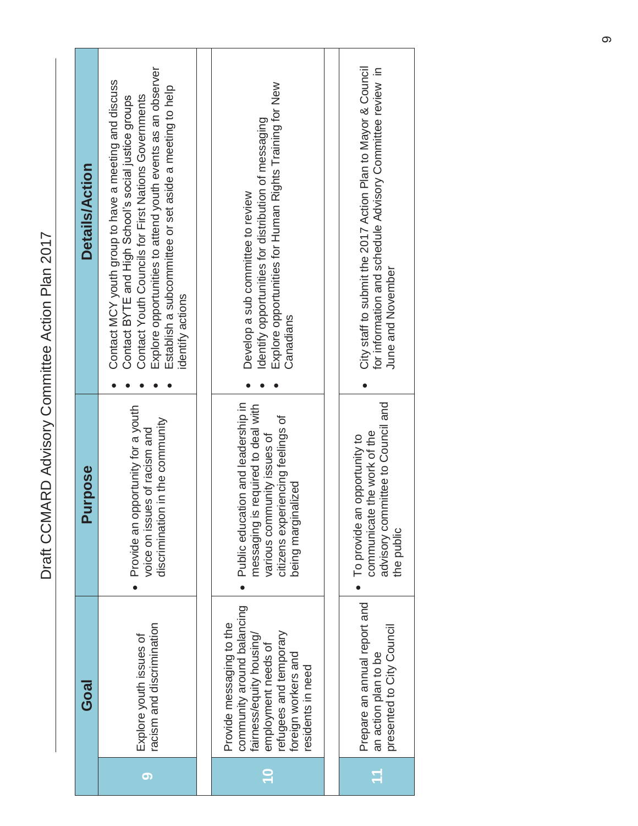| ー・ハ<br>)      |
|---------------|
|               |
| ı             |
| $\frac{1}{2}$ |
|               |
| ا<br>ا<br>I   |
| I             |
|               |
| י<br>)<br>(   |
|               |
|               |
|               |
|               |
|               |
|               |
|               |
|               |

| <b>Details/Action</b> | Explore opportunities to attend youth events as an observer<br>Contact MCY youth group to have a meeting and discuss<br>Establish a subcommittee or set aside a meeting to help<br>Contact Youth Councils for First Nations Governments<br>Contact BYTE and High School's social justice groups<br>identify actions | Explore opportunities for Human Rights Training for New<br>Identify opportunities for distribution of messaging<br>Develop a sub committee to review<br>Canadians               | City staff to submit the 2017 Action Plan to Mayor & Council<br>for information and schedule Advisory Committee review in<br>June and November |
|-----------------------|---------------------------------------------------------------------------------------------------------------------------------------------------------------------------------------------------------------------------------------------------------------------------------------------------------------------|---------------------------------------------------------------------------------------------------------------------------------------------------------------------------------|------------------------------------------------------------------------------------------------------------------------------------------------|
|                       |                                                                                                                                                                                                                                                                                                                     |                                                                                                                                                                                 |                                                                                                                                                |
| Purpose               | opportunity for a youth<br>discrimination in the community<br>voice on issues of racism and<br>Provide an                                                                                                                                                                                                           | Public education and leadership in<br>messaging is required to deal with<br>citizens experiencing feelings of<br>various community issues of<br>nalized<br>being margi          | advisory committee to Council and<br>communicate the work of the<br>To provide an opportunity to<br>the public                                 |
| <b>Goal</b>           | racism and discrimination<br>Explore youth issues of                                                                                                                                                                                                                                                                | community around balancing<br>Provide messaging to the<br>refugees and temporary<br>fairness/equity housing/<br>employment needs of<br>foreign workers and<br>residents in need | Prepare an annual report and<br>presented to City Council<br>an action plan to be                                                              |
|                       | 5                                                                                                                                                                                                                                                                                                                   |                                                                                                                                                                                 | $\mathbf{r}$                                                                                                                                   |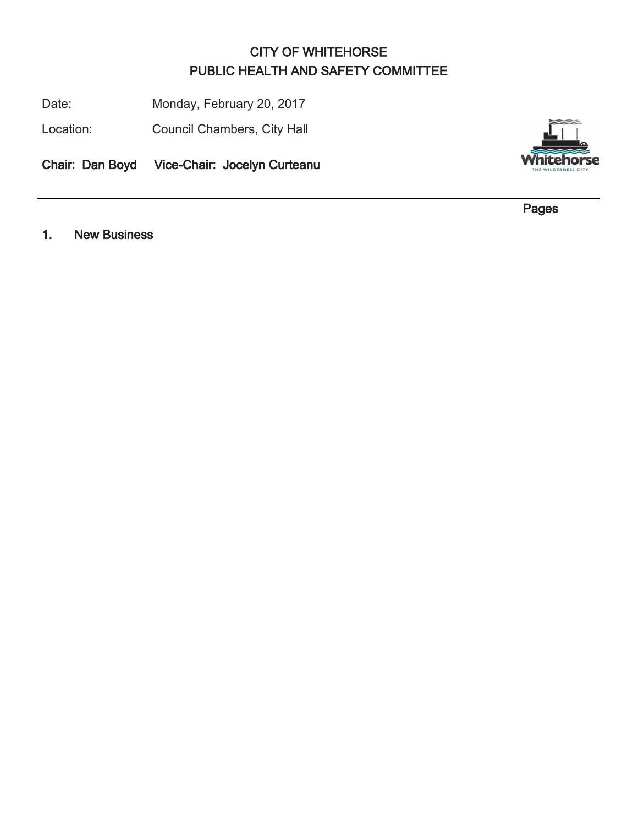# CITY OF WHITEHORSE PUBLIC HEALTH AND SAFETY COMMITTEE

Date: Monday, February 20, 2017

Location: Council Chambers, City Hall

Chair: Dan Boyd Vice-Chair: Jocelyn Curteanu



nit el

Pages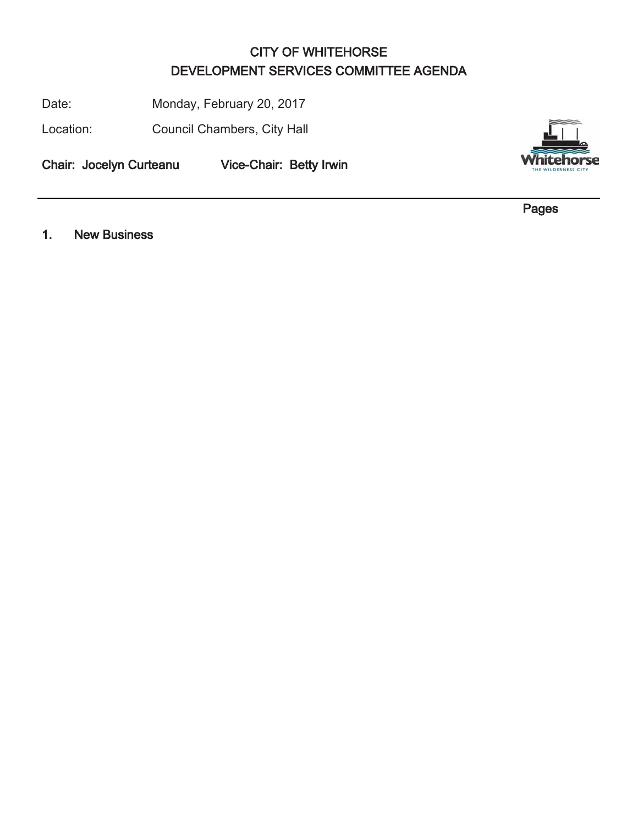# CITY OF WHITEHORSE DEVELOPMENT SERVICES COMMITTEE AGENDA

Date: Monday, February 20, 2017

Location: Council Chambers, City Hall

Chair: Jocelyn Curteanu Vice-Chair: Betty Irwin



Pages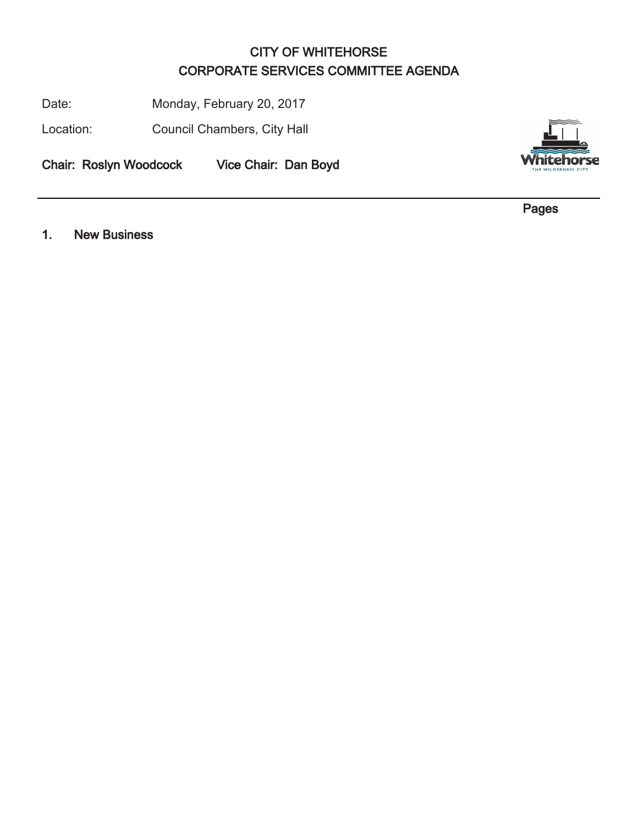# CITY OF WHITEHORSE CORPORATE SERVICES COMMITTEE AGENDA

Date: Monday, February 20, 2017

Location: Council Chambers, City Hall

Chair: Roslyn Woodcock Vice Chair: Dan Boyd



Pages